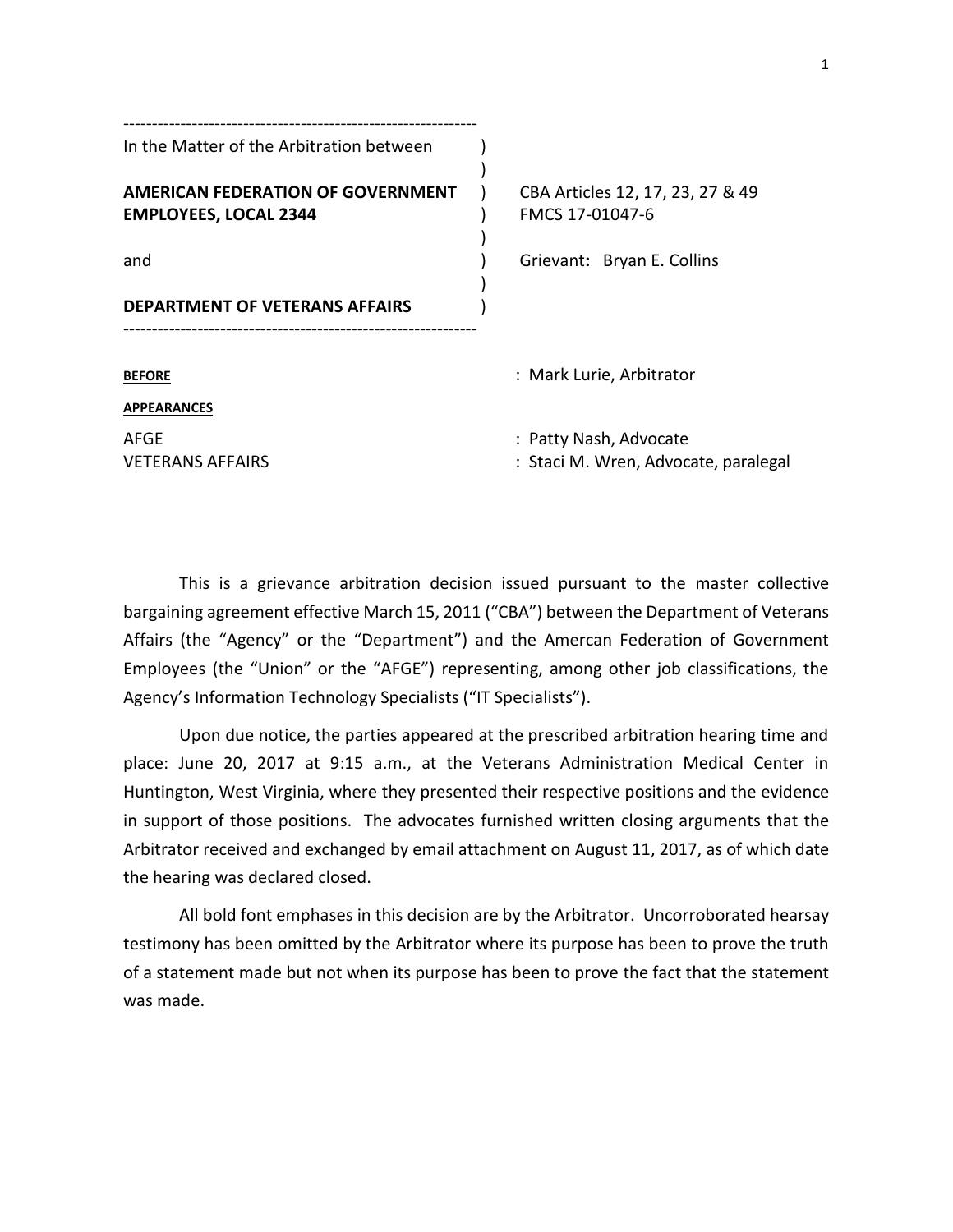| In the Matter of the Arbitration between                                 |                                                                |
|--------------------------------------------------------------------------|----------------------------------------------------------------|
| <b>AMERICAN FEDERATION OF GOVERNMENT</b><br><b>EMPLOYEES, LOCAL 2344</b> | CBA Articles 12, 17, 23, 27 & 49<br>FMCS 17-01047-6            |
| and                                                                      | Grievant: Bryan E. Collins                                     |
| DEPARTMENT OF VETERANS AFFAIRS                                           |                                                                |
| <b>BEFORE</b>                                                            | : Mark Lurie, Arbitrator                                       |
| <b>APPEARANCES</b>                                                       |                                                                |
| AFGE<br>VETERANS AFFAIRS                                                 | : Patty Nash, Advocate<br>: Staci M. Wren, Advocate, paralegal |
|                                                                          |                                                                |

This is a grievance arbitration decision issued pursuant to the master collective bargaining agreement effective March 15, 2011 ("CBA") between the Department of Veterans Affairs (the "Agency" or the "Department") and the Amercan Federation of Government Employees (the "Union" or the "AFGE") representing, among other job classifications, the Agency's Information Technology Specialists ("IT Specialists").

Upon due notice, the parties appeared at the prescribed arbitration hearing time and place: June 20, 2017 at 9:15 a.m., at the Veterans Administration Medical Center in Huntington, West Virginia, where they presented their respective positions and the evidence in support of those positions. The advocates furnished written closing arguments that the Arbitrator received and exchanged by email attachment on August 11, 2017, as of which date the hearing was declared closed.

All bold font emphases in this decision are by the Arbitrator. Uncorroborated hearsay testimony has been omitted by the Arbitrator where its purpose has been to prove the truth of a statement made but not when its purpose has been to prove the fact that the statement was made.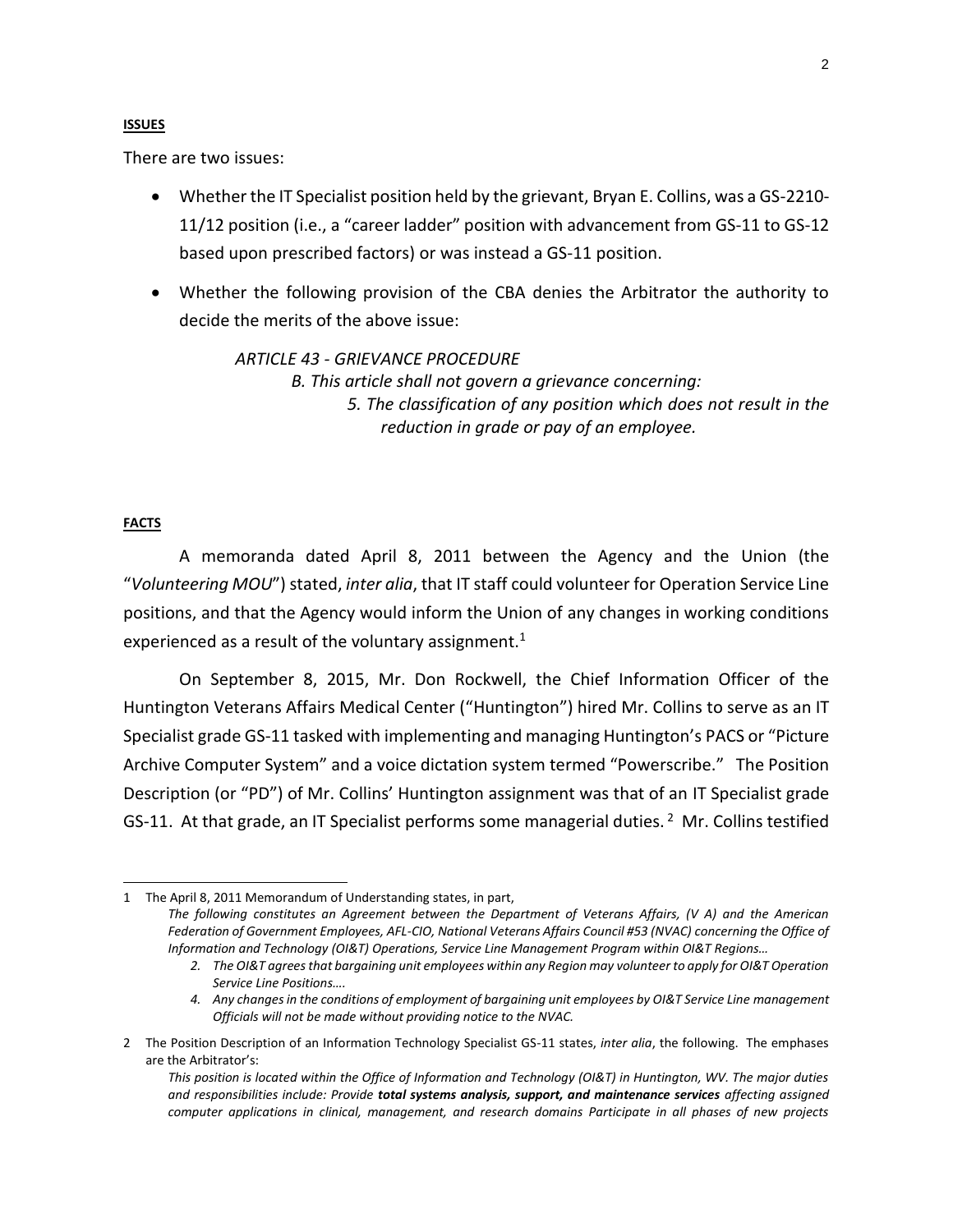# **ISSUES**

There are two issues:

- Whether the IT Specialist position held by the grievant, Bryan E. Collins, was a GS-2210- 11/12 position (i.e., a "career ladder" position with advancement from GS-11 to GS-12 based upon prescribed factors) or was instead a GS-11 position.
- Whether the following provision of the CBA denies the Arbitrator the authority to decide the merits of the above issue:

*ARTICLE 43 - GRIEVANCE PROCEDURE B. This article shall not govern a grievance concerning: 5. The classification of any position which does not result in the reduction in grade or pay of an employee.*

# **FACTS**

l

A memoranda dated April 8, 2011 between the Agency and the Union (the "*Volunteering MOU*") stated, *inter alia*, that IT staff could volunteer for Operation Service Line positions, and that the Agency would inform the Union of any changes in working conditions experienced as a result of the voluntary assignment.<sup>1</sup>

On September 8, 2015, Mr. Don Rockwell, the Chief Information Officer of the Huntington Veterans Affairs Medical Center ("Huntington") hired Mr. Collins to serve as an IT Specialist grade GS-11 tasked with implementing and managing Huntington's PACS or "Picture Archive Computer System" and a voice dictation system termed "Powerscribe." The Position Description (or "PD") of Mr. Collins' Huntington assignment was that of an IT Specialist grade GS-11. At that grade, an IT Specialist performs some managerial duties.<sup>2</sup> Mr. Collins testified

<sup>1</sup> The April 8, 2011 Memorandum of Understanding states, in part, *The following constitutes an Agreement between the Department of Veterans Affairs, (V A) and the American*  Federation of Government Employees, AFL-CIO, National Veterans Affairs Council #53 (NVAC) concerning the Office of *Information and Technology (OI&T) Operations, Service Line Management Program within OI&T Regions…*

<sup>2.</sup> The OI&T agrees that bargaining unit employees within any Region may volunteer to apply for OI&T Operation *Service Line Positions….*

*<sup>4.</sup> Any changes in the conditions of employment of bargaining unit employees by OI&T Service Line management Officials will not be made without providing notice to the NVAC.*

<sup>2</sup> The Position Description of an Information Technology Specialist GS-11 states, *inter alia*, the following. The emphases are the Arbitrator's:

*This position is located within the Office of Information and Technology (OI&T) in Huntington, WV. The major duties and responsibilities include: Provide total systems analysis, support, and maintenance services affecting assigned computer applications in clinical, management, and research domains Participate in all phases of new projects*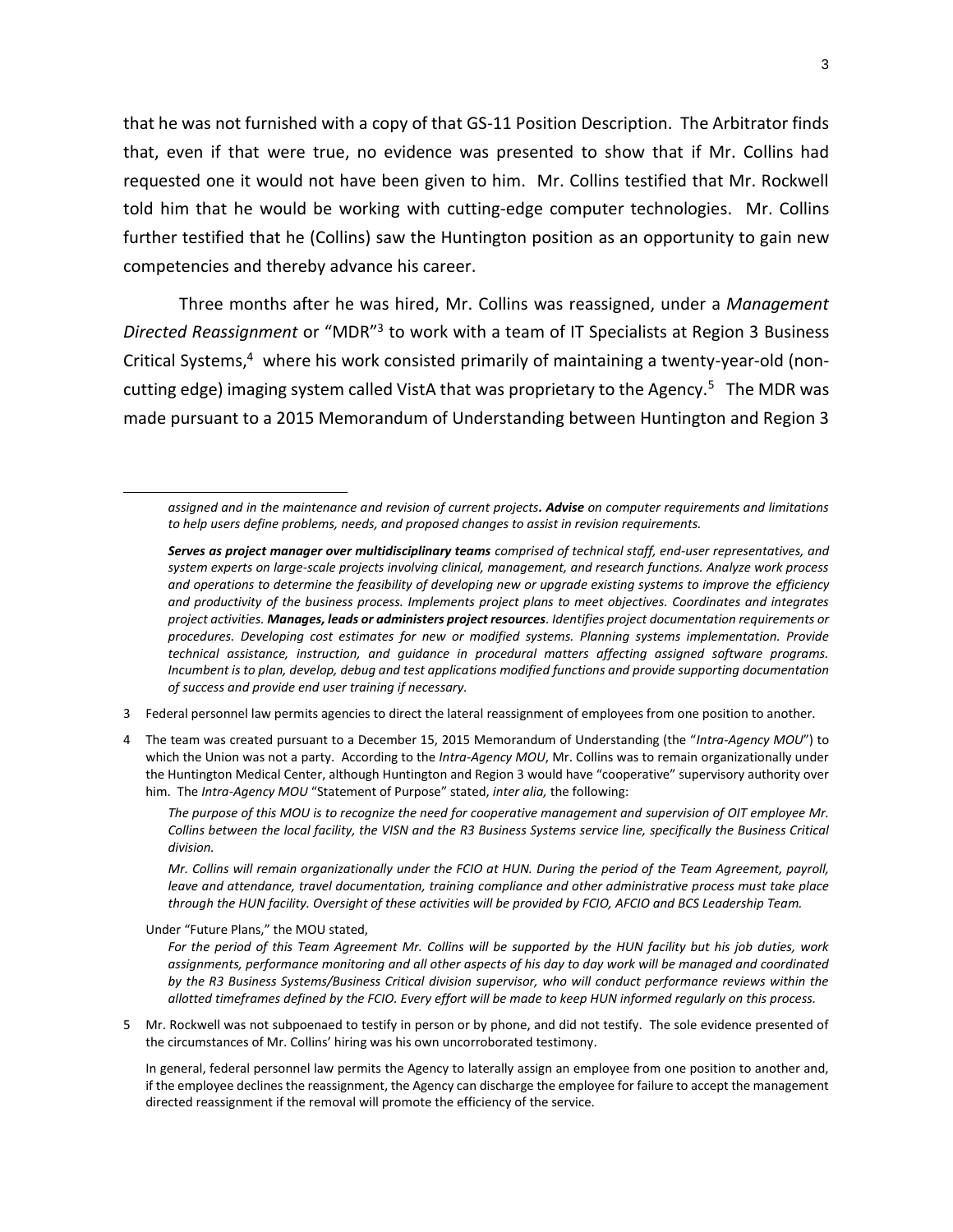that he was not furnished with a copy of that GS-11 Position Description. The Arbitrator finds that, even if that were true, no evidence was presented to show that if Mr. Collins had requested one it would not have been given to him. Mr. Collins testified that Mr. Rockwell told him that he would be working with cutting-edge computer technologies. Mr. Collins further testified that he (Collins) saw the Huntington position as an opportunity to gain new competencies and thereby advance his career.

Three months after he was hired, Mr. Collins was reassigned, under a *Management Directed Reassignment* or "MDR"<sup>3</sup> to work with a team of IT Specialists at Region 3 Business Critical Systems, <sup>4</sup> where his work consisted primarily of maintaining a twenty-year-old (noncutting edge) imaging system called VistA that was proprietary to the Agency.<sup>5</sup> The MDR was made pursuant to a 2015 Memorandum of Understanding between Huntington and Region 3

3 Federal personnel law permits agencies to direct the lateral reassignment of employees from one position to another.

4 The team was created pursuant to a December 15, 2015 Memorandum of Understanding (the "*Intra-Agency MOU*") to which the Union was not a party. According to the *Intra-Agency MOU*, Mr. Collins was to remain organizationally under the Huntington Medical Center, although Huntington and Region 3 would have "cooperative" supervisory authority over him. The *Intra-Agency MOU* "Statement of Purpose" stated, *inter alia,* the following:

*The purpose of this MOU is to recognize the need for cooperative management and supervision of OIT employee Mr. Collins between the local facility, the VISN and the R3 Business Systems service line, specifically the Business Critical division.*

*Mr. Collins will remain organizationally under the FCIO at HUN. During the period of the Team Agreement, payroll, leave and attendance, travel documentation, training compliance and other administrative process must take place through the HUN facility. Oversight of these activities will be provided by FCIO, AFCIO and BCS Leadership Team.*

Under "Future Plans," the MOU stated,

l

*For the period of this Team Agreement Mr. Collins will be supported by the HUN facility but his job duties, work*  assignments, performance monitoring and all other aspects of his day to day work will be managed and coordinated *by the R3 Business Systems/Business Critical division supervisor, who will conduct performance reviews within the allotted timeframes defined by the FCIO. Every effort will be made to keep HUN informed regularly on this process.*

5 Mr. Rockwell was not subpoenaed to testify in person or by phone, and did not testify. The sole evidence presented of the circumstances of Mr. Collins' hiring was his own uncorroborated testimony.

In general, federal personnel law permits the Agency to laterally assign an employee from one position to another and, if the employee declines the reassignment, the Agency can discharge the employee for failure to accept the management directed reassignment if the removal will promote the efficiency of the service.

*assigned and in the maintenance and revision of current projects. Advise on computer requirements and limitations to help users define problems, needs, and proposed changes to assist in revision requirements.*

*Serves as project manager over multidisciplinary teams comprised of technical staff, end-user representatives, and system experts on large-scale projects involving clinical, management, and research functions. Analyze work process and operations to determine the feasibility of developing new or upgrade existing systems to improve the efficiency and productivity of the business process. Implements project plans to meet objectives. Coordinates and integrates project activities. Manages, leads or administers project resources. Identifies project documentation requirements or procedures. Developing cost estimates for new or modified systems. Planning systems implementation. Provide technical assistance, instruction, and guidance in procedural matters affecting assigned software programs. Incumbent is to plan, develop, debug and test applications modified functions and provide supporting documentation of success and provide end user training if necessary.*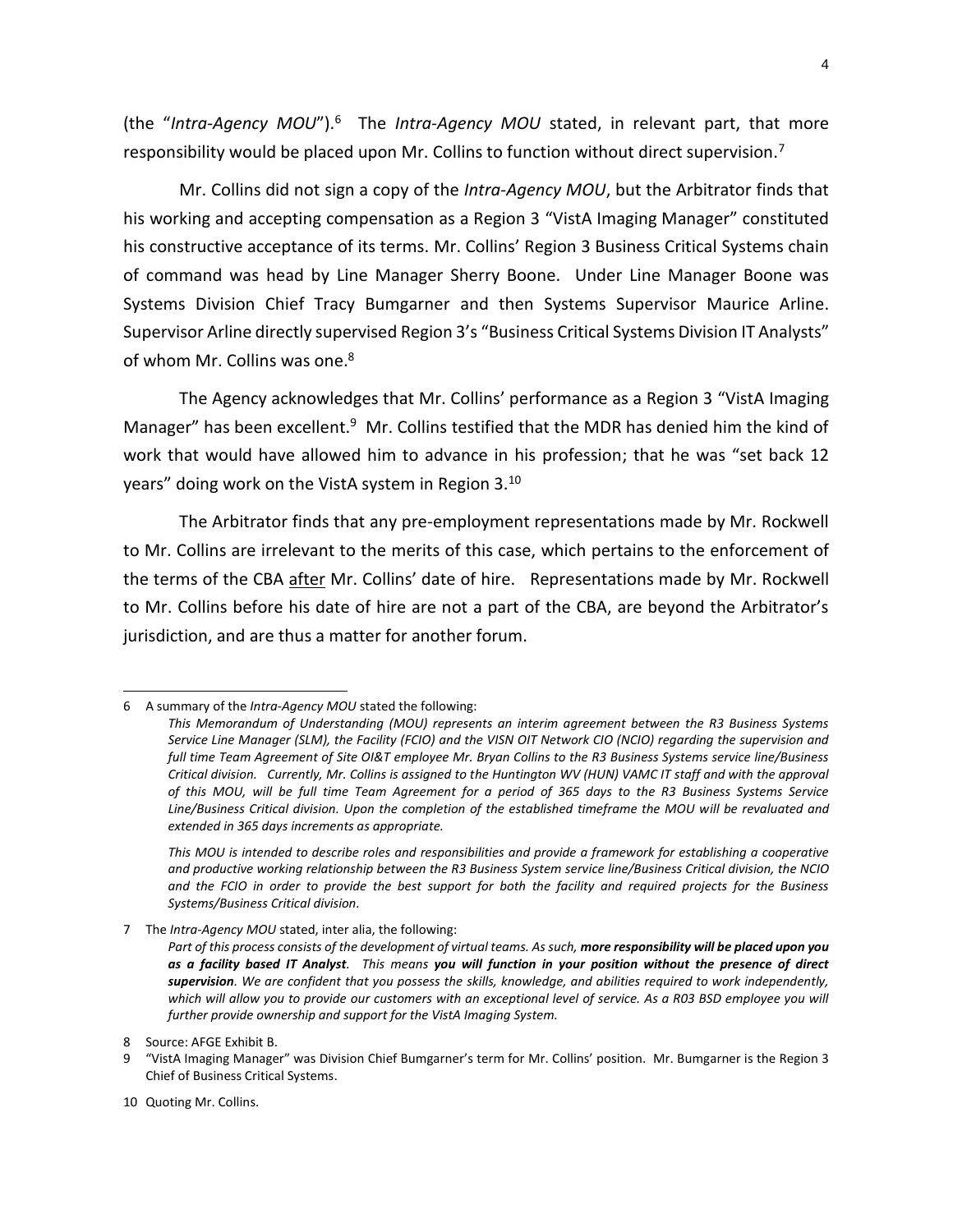4

(the "Intra-Agency MOU").<sup>6</sup> The Intra-Agency MOU stated, in relevant part, that more responsibility would be placed upon Mr. Collins to function without direct supervision.<sup>7</sup>

Mr. Collins did not sign a copy of the *Intra-Agency MOU*, but the Arbitrator finds that his working and accepting compensation as a Region 3 "VistA Imaging Manager" constituted his constructive acceptance of its terms. Mr. Collins' Region 3 Business Critical Systems chain of command was head by Line Manager Sherry Boone. Under Line Manager Boone was Systems Division Chief Tracy Bumgarner and then Systems Supervisor Maurice Arline. Supervisor Arline directly supervised Region 3's "Business Critical Systems Division IT Analysts" of whom Mr. Collins was one.<sup>8</sup>

The Agency acknowledges that Mr. Collins' performance as a Region 3 "VistA Imaging Manager" has been excellent.<sup>9</sup> Mr. Collins testified that the MDR has denied him the kind of work that would have allowed him to advance in his profession; that he was "set back 12 years" doing work on the VistA system in Region 3.<sup>10</sup>

The Arbitrator finds that any pre-employment representations made by Mr. Rockwell to Mr. Collins are irrelevant to the merits of this case, which pertains to the enforcement of the terms of the CBA after Mr. Collins' date of hire. Representations made by Mr. Rockwell to Mr. Collins before his date of hire are not a part of the CBA, are beyond the Arbitrator's jurisdiction, and are thus a matter for another forum.

 $\overline{a}$ 

<sup>6</sup> A summary of the *Intra-Agency MOU* stated the following:

*This Memorandum of Understanding (MOU) represents an interim agreement between the R3 Business Systems Service Line Manager (SLM), the Facility (FCIO) and the VISN OIT Network CIO (NCIO) regarding the supervision and full time Team Agreement of Site OI&T employee Mr. Bryan Collins to the R3 Business Systems service line/Business Critical division. Currently, Mr. Collins is assigned to the Huntington WV (HUN) VAMC IT staff and with the approval of this MOU, will be full time Team Agreement for a period of 365 days to the R3 Business Systems Service Line/Business Critical division. Upon the completion of the established timeframe the MOU will be revaluated and extended in 365 days increments as appropriate.*

*This MOU is intended to describe roles and responsibilities and provide a framework for establishing a cooperative and productive working relationship between the R3 Business System service line/Business Critical division, the NCIO and the FCIO in order to provide the best support for both the facility and required projects for the Business Systems/Business Critical division.*

<sup>7</sup> The *Intra-Agency MOU* stated, inter alia, the following:

*Part of this process consists of the development of virtual teams. As such, more responsibility will be placed upon you as a facility based IT Analyst. This means you will function in your position without the presence of direct supervision. We are confident that you possess the skills, knowledge, and abilities required to work independently,*  which will allow you to provide our customers with an exceptional level of service. As a R03 BSD employee you will *further provide ownership and support for the VistA Imaging System.*

<sup>8</sup> Source: AFGE Exhibit B.

<sup>9</sup> "VistA Imaging Manager" was Division Chief Bumgarner's term for Mr. Collins' position. Mr. Bumgarner is the Region 3 Chief of Business Critical Systems.

<sup>10</sup> Quoting Mr. Collins.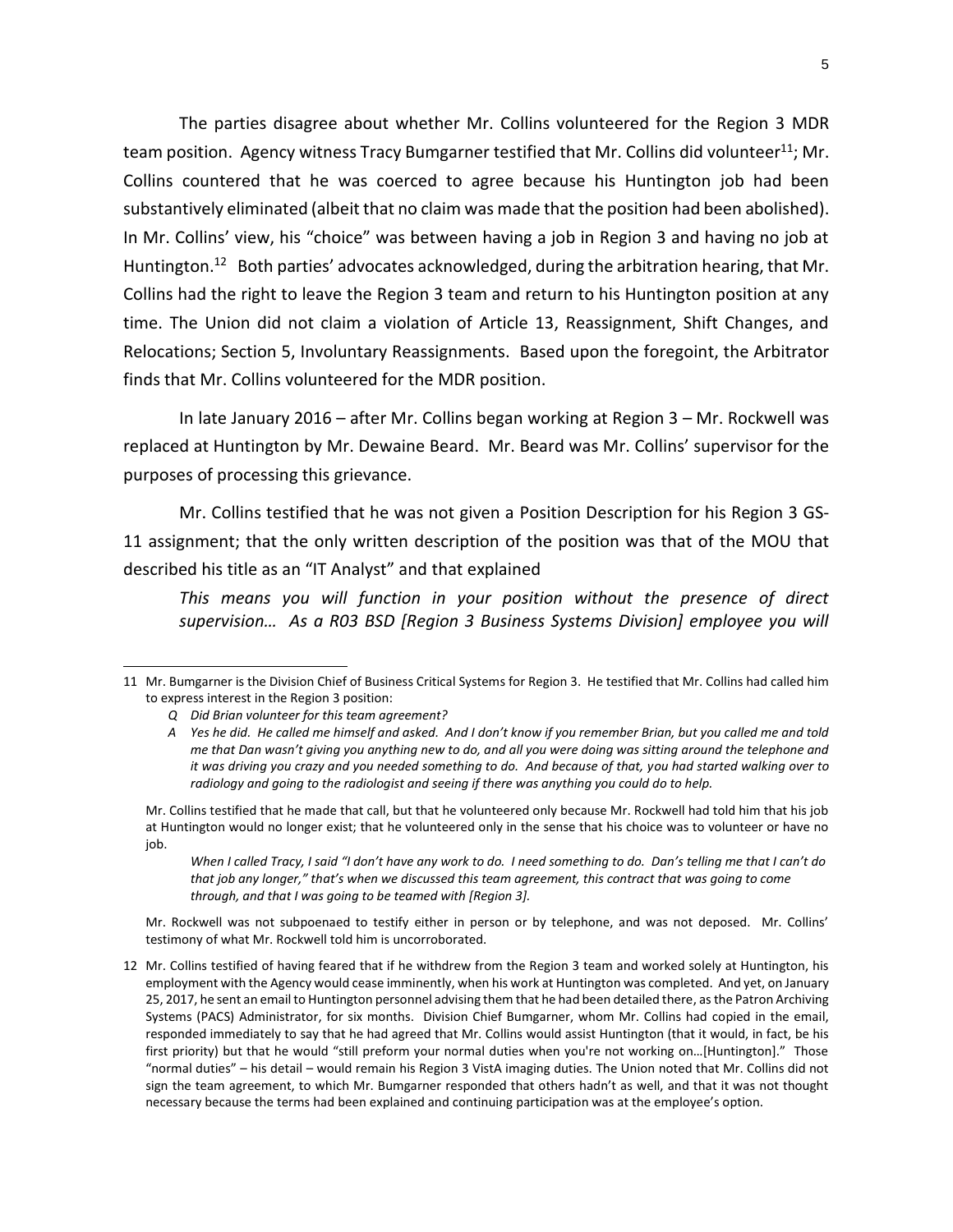The parties disagree about whether Mr. Collins volunteered for the Region 3 MDR team position. Agency witness Tracy Bumgarner testified that Mr. Collins did volunteer<sup>11</sup>; Mr. Collins countered that he was coerced to agree because his Huntington job had been substantively eliminated (albeit that no claim was made that the position had been abolished). In Mr. Collins' view, his "choice" was between having a job in Region 3 and having no job at Huntington.<sup>12</sup> Both parties' advocates acknowledged, during the arbitration hearing, that Mr. Collins had the right to leave the Region 3 team and return to his Huntington position at any time. The Union did not claim a violation of Article 13, Reassignment, Shift Changes, and Relocations; Section 5, Involuntary Reassignments. Based upon the foregoint, the Arbitrator finds that Mr. Collins volunteered for the MDR position.

In late January 2016 – after Mr. Collins began working at Region 3 – Mr. Rockwell was replaced at Huntington by Mr. Dewaine Beard. Mr. Beard was Mr. Collins' supervisor for the purposes of processing this grievance.

Mr. Collins testified that he was not given a Position Description for his Region 3 GS-11 assignment; that the only written description of the position was that of the MOU that described his title as an "IT Analyst" and that explained

*This means you will function in your position without the presence of direct supervision… As a R03 BSD [Region 3 Business Systems Division] employee you will* 

 $\overline{a}$ 

*When I called Tracy, I said "I don't have any work to do. I need something to do. Dan's telling me that I can't do that job any longer," that's when we discussed this team agreement, this contract that was going to come through, and that I was going to be teamed with [Region 3].*

Mr. Rockwell was not subpoenaed to testify either in person or by telephone, and was not deposed. Mr. Collins' testimony of what Mr. Rockwell told him is uncorroborated.

12 Mr. Collins testified of having feared that if he withdrew from the Region 3 team and worked solely at Huntington, his employment with the Agency would cease imminently, when his work at Huntington was completed. And yet, on January 25, 2017, he sent an email to Huntington personnel advising them that he had been detailed there, as the Patron Archiving Systems (PACS) Administrator, for six months. Division Chief Bumgarner, whom Mr. Collins had copied in the email, responded immediately to say that he had agreed that Mr. Collins would assist Huntington (that it would, in fact, be his first priority) but that he would "still preform your normal duties when you're not working on…[Huntington]." Those "normal duties" – his detail – would remain his Region 3 VistA imaging duties. The Union noted that Mr. Collins did not sign the team agreement, to which Mr. Bumgarner responded that others hadn't as well, and that it was not thought necessary because the terms had been explained and continuing participation was at the employee's option.

<sup>11</sup> Mr. Bumgarner is the Division Chief of Business Critical Systems for Region 3. He testified that Mr. Collins had called him to express interest in the Region 3 position:

*Q Did Brian volunteer for this team agreement?*

*A Yes he did. He called me himself and asked. And I don't know if you remember Brian, but you called me and told me that Dan wasn't giving you anything new to do, and all you were doing was sitting around the telephone and it was driving you crazy and you needed something to do. And because of that, you had started walking over to radiology and going to the radiologist and seeing if there was anything you could do to help.*

Mr. Collins testified that he made that call, but that he volunteered only because Mr. Rockwell had told him that his job at Huntington would no longer exist; that he volunteered only in the sense that his choice was to volunteer or have no job.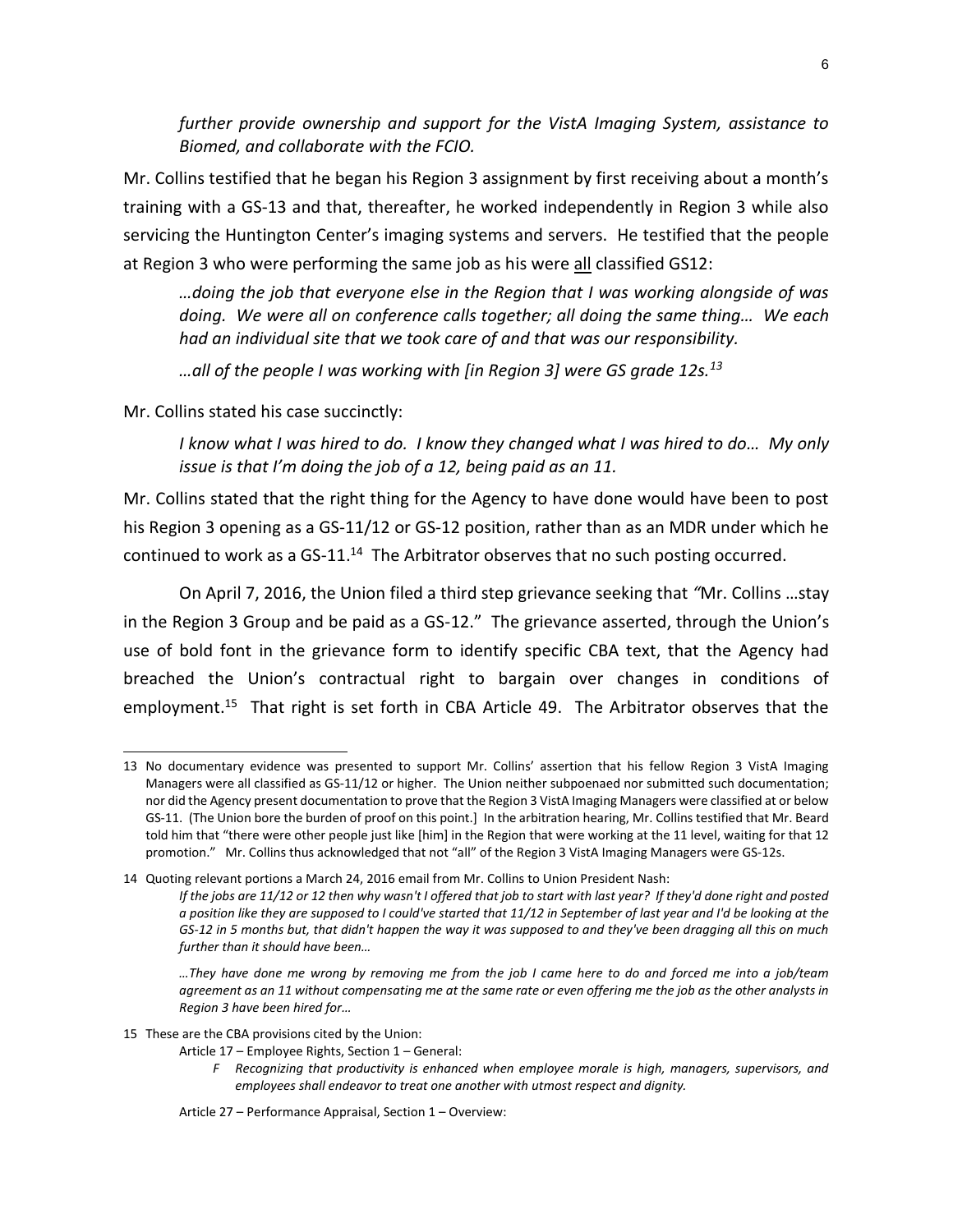*further provide ownership and support for the VistA Imaging System, assistance to Biomed, and collaborate with the FCIO.*

Mr. Collins testified that he began his Region 3 assignment by first receiving about a month's training with a GS-13 and that, thereafter, he worked independently in Region 3 while also servicing the Huntington Center's imaging systems and servers. He testified that the people at Region 3 who were performing the same job as his were all classified GS12:

*…doing the job that everyone else in the Region that I was working alongside of was doing. We were all on conference calls together; all doing the same thing… We each had an individual site that we took care of and that was our responsibility.*

*…all of the people I was working with [in Region 3] were GS grade 12s.<sup>13</sup>*

Mr. Collins stated his case succinctly:

l

*I know what I was hired to do. I know they changed what I was hired to do… My only issue is that I'm doing the job of a 12, being paid as an 11.*

Mr. Collins stated that the right thing for the Agency to have done would have been to post his Region 3 opening as a GS-11/12 or GS-12 position, rather than as an MDR under which he continued to work as a GS-11. $^{14}$  The Arbitrator observes that no such posting occurred.

On April 7, 2016, the Union filed a third step grievance seeking that *"*Mr. Collins …stay in the Region 3 Group and be paid as a GS-12." The grievance asserted, through the Union's use of bold font in the grievance form to identify specific CBA text, that the Agency had breached the Union's contractual right to bargain over changes in conditions of employment.<sup>15</sup> That right is set forth in CBA Article 49. The Arbitrator observes that the

- 15 These are the CBA provisions cited by the Union:
	- Article 17 Employee Rights, Section 1 General:
		- *F Recognizing that productivity is enhanced when employee morale is high, managers, supervisors, and employees shall endeavor to treat one another with utmost respect and dignity.*
	- Article 27 Performance Appraisal, Section 1 Overview:

<sup>13</sup> No documentary evidence was presented to support Mr. Collins' assertion that his fellow Region 3 VistA Imaging Managers were all classified as GS-11/12 or higher. The Union neither subpoenaed nor submitted such documentation; nor did the Agency present documentation to prove that the Region 3 VistA Imaging Managers were classified at or below GS-11. (The Union bore the burden of proof on this point.] In the arbitration hearing, Mr. Collins testified that Mr. Beard told him that "there were other people just like [him] in the Region that were working at the 11 level, waiting for that 12 promotion." Mr. Collins thus acknowledged that not "all" of the Region 3 VistA Imaging Managers were GS-12s.

<sup>14</sup> Quoting relevant portions a March 24, 2016 email from Mr. Collins to Union President Nash: *If the jobs are 11/12 or 12 then why wasn't I offered that job to start with last year? If they'd done right and posted a position like they are supposed to I could've started that 11/12 in September of last year and I'd be looking at the GS-12 in 5 months but, that didn't happen the way it was supposed to and they've been dragging all this on much further than it should have been…*

*<sup>…</sup>They have done me wrong by removing me from the job I came here to do and forced me into a job/team agreement as an 11 without compensating me at the same rate or even offering me the job as the other analysts in Region 3 have been hired for…*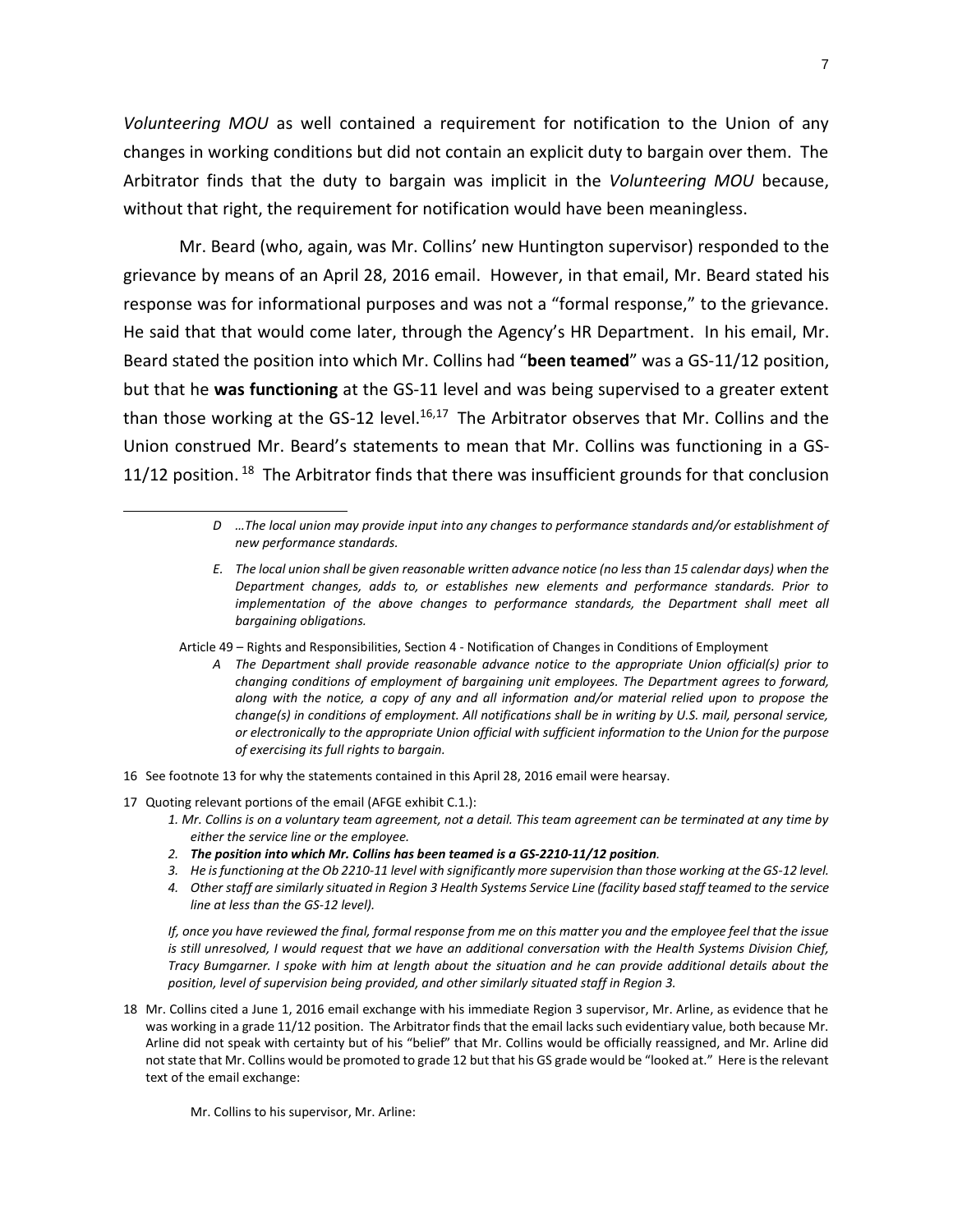*Volunteering MOU* as well contained a requirement for notification to the Union of any changes in working conditions but did not contain an explicit duty to bargain over them. The Arbitrator finds that the duty to bargain was implicit in the *Volunteering MOU* because, without that right, the requirement for notification would have been meaningless.

Mr. Beard (who, again, was Mr. Collins' new Huntington supervisor) responded to the grievance by means of an April 28, 2016 email. However, in that email, Mr. Beard stated his response was for informational purposes and was not a "formal response," to the grievance. He said that that would come later, through the Agency's HR Department. In his email, Mr. Beard stated the position into which Mr. Collins had "**been teamed**" was a GS-11/12 position, but that he **was functioning** at the GS-11 level and was being supervised to a greater extent than those working at the GS-12 level.<sup>16,17</sup> The Arbitrator observes that Mr. Collins and the Union construed Mr. Beard's statements to mean that Mr. Collins was functioning in a GS-11/12 position.<sup>18</sup> The Arbitrator finds that there was insufficient grounds for that conclusion

- *E. The local union shall be given reasonable written advance notice (no less than 15 calendar days) when the Department changes, adds to, or establishes new elements and performance standards. Prior to implementation of the above changes to performance standards, the Department shall meet all bargaining obligations.*
- Article 49 Rights and Responsibilities, Section 4 Notification of Changes in Conditions of Employment
	- *A The Department shall provide reasonable advance notice to the appropriate Union official(s) prior to changing conditions of employment of bargaining unit employees. The Department agrees to forward, along with the notice, a copy of any and all information and/or material relied upon to propose the change(s) in conditions of employment. All notifications shall be in writing by U.S. mail, personal service, or electronically to the appropriate Union official with sufficient information to the Union for the purpose of exercising its full rights to bargain.*
- 16 See footnote 13 for why the statements contained in this April 28, 2016 email were hearsay.
- 17 Quoting relevant portions of the email (AFGE exhibit C.1.):

l

- *1. Mr. Collins is on a voluntary team agreement, not a detail. This team agreement can be terminated at any time by either the service line or the employee.*
- *2. The position into which Mr. Collins has been teamed is a GS-2210-11/12 position.*
- *3. He is functioning at the Ob 2210-11 level with significantly more supervision than those working at the GS-12 level.*
- *4. Other staff are similarly situated in Region 3 Health Systems Service Line (facility based staff teamed to the service line at less than the GS-12 level).*

*If, once you have reviewed the final, formal response from me on this matter you and the employee feel that the issue*  is still unresolved, I would request that we have an additional conversation with the Health Systems Division Chief, *Tracy Bumgarner. I spoke with him at length about the situation and he can provide additional details about the position, level of supervision being provided, and other similarly situated staff in Region 3.*

18 Mr. Collins cited a June 1, 2016 email exchange with his immediate Region 3 supervisor, Mr. Arline, as evidence that he was working in a grade 11/12 position. The Arbitrator finds that the email lacks such evidentiary value, both because Mr. Arline did not speak with certainty but of his "belief" that Mr. Collins would be officially reassigned, and Mr. Arline did not state that Mr. Collins would be promoted to grade 12 but that his GS grade would be "looked at." Here is the relevant text of the email exchange:

Mr. Collins to his supervisor, Mr. Arline:

*D …The local union may provide input into any changes to performance standards and/or establishment of new performance standards.*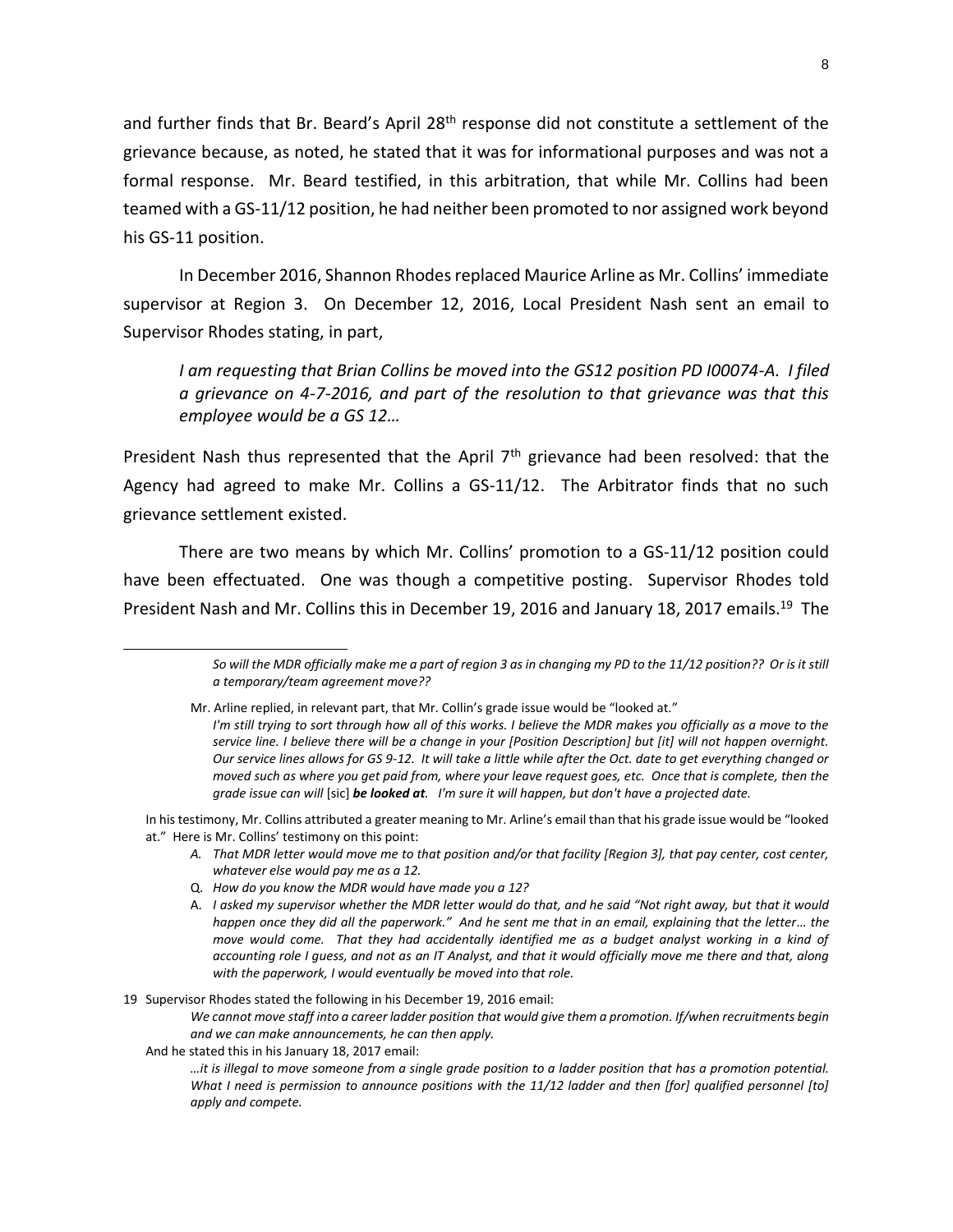and further finds that Br. Beard's April 28<sup>th</sup> response did not constitute a settlement of the grievance because, as noted, he stated that it was for informational purposes and was not a formal response. Mr. Beard testified, in this arbitration, that while Mr. Collins had been teamed with a GS-11/12 position, he had neither been promoted to nor assigned work beyond his GS-11 position.

In December 2016, Shannon Rhodes replaced Maurice Arline as Mr. Collins' immediate supervisor at Region 3. On December 12, 2016, Local President Nash sent an email to Supervisor Rhodes stating, in part,

*I am requesting that Brian Collins be moved into the GS12 position PD I00074-A. I filed a grievance on 4-7-2016, and part of the resolution to that grievance was that this employee would be a GS 12…*

President Nash thus represented that the April 7<sup>th</sup> grievance had been resolved: that the Agency had agreed to make Mr. Collins a GS-11/12. The Arbitrator finds that no such grievance settlement existed.

There are two means by which Mr. Collins' promotion to a GS-11/12 position could have been effectuated. One was though a competitive posting. Supervisor Rhodes told President Nash and Mr. Collins this in December 19, 2016 and January 18, 2017 emails.<sup>19</sup> The

- *A. That MDR letter would move me to that position and/or that facility [Region 3], that pay center, cost center, whatever else would pay me as a 12.*
- Q. *How do you know the MDR would have made you a 12?*
- A. *I asked my supervisor whether the MDR letter would do that, and he said "Not right away, but that it would happen once they did all the paperwork." And he sent me that in an email, explaining that the letter… the move would come. That they had accidentally identified me as a budget analyst working in a kind of accounting role I guess, and not as an IT Analyst, and that it would officially move me there and that, along with the paperwork, I would eventually be moved into that role.*

19 Supervisor Rhodes stated the following in his December 19, 2016 email:

*We cannot move staff into a career ladder position that would give them a promotion. If/when recruitments begin and we can make announcements, he can then apply.*

And he stated this in his January 18, 2017 email:

 $\overline{a}$ 

*…it is illegal to move someone from a single grade position to a ladder position that has a promotion potential. What I need is permission to announce positions with the 11/12 ladder and then [for] qualified personnel [to] apply and compete.*

*So will the MDR officially make me a part of region 3 as in changing my PD to the 11/12 position?? Or is it still a temporary/team agreement move??*

Mr. Arline replied, in relevant part, that Mr. Collin's grade issue would be "looked at." *I'm still trying to sort through how all of this works. I believe the MDR makes you officially as a move to the service line. I believe there will be a change in your [Position Description] but [it] will not happen overnight. Our service lines allows for GS 9-12. It will take a little while after the Oct. date to get everything changed or moved such as where you get paid from, where your leave request goes, etc. Once that is complete, then the grade issue can will* [sic] *be looked at. I'm sure it will happen, but don't have a projected date.*

In his testimony, Mr. Collins attributed a greater meaning to Mr. Arline's email than that his grade issue would be "looked at." Here is Mr. Collins' testimony on this point: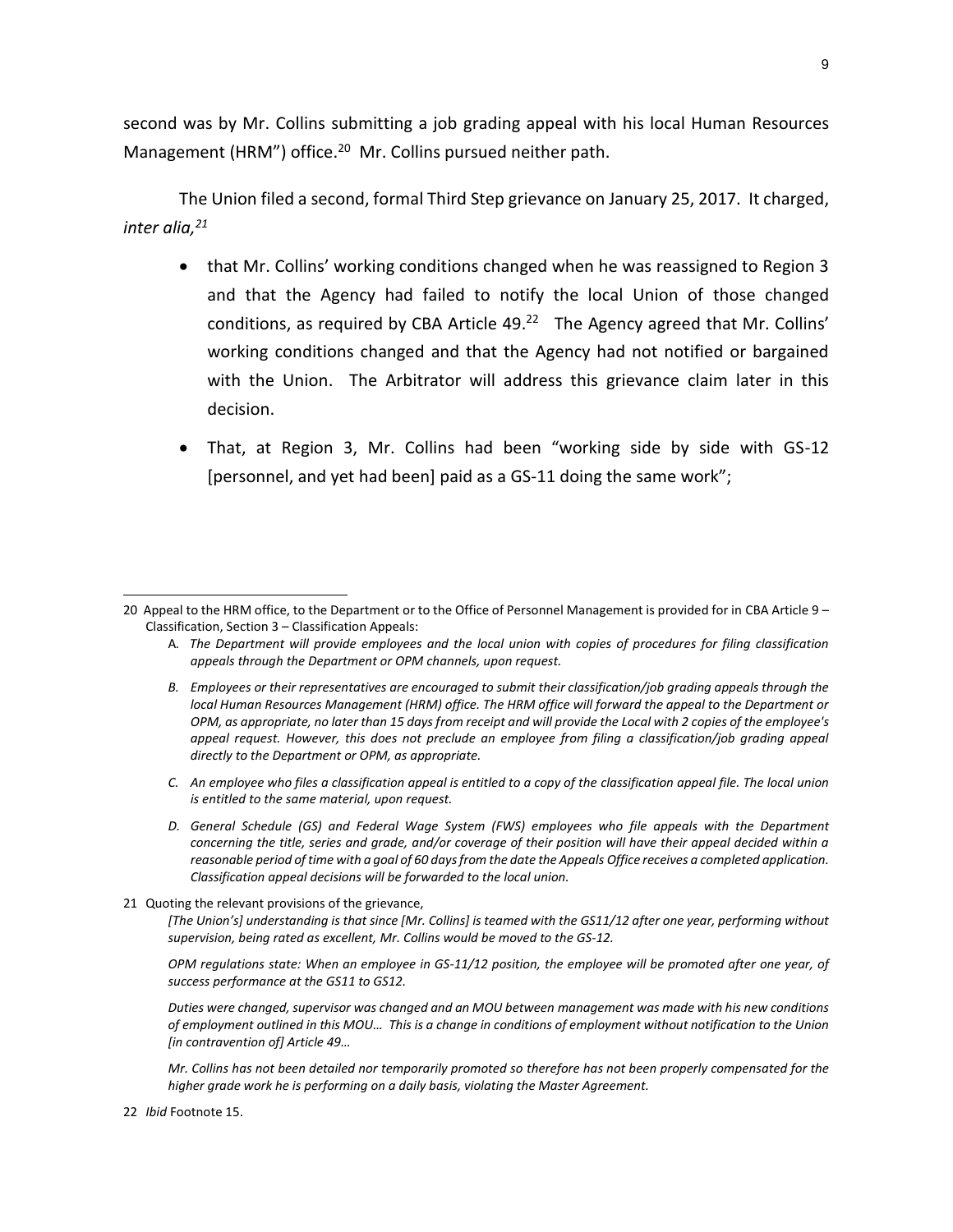second was by Mr. Collins submitting a job grading appeal with his local Human Resources Management (HRM") office.<sup>20</sup> Mr. Collins pursued neither path.

The Union filed a second, formal Third Step grievance on January 25, 2017. It charged, *inter alia,<sup>21</sup>*

- that Mr. Collins' working conditions changed when he was reassigned to Region 3 and that the Agency had failed to notify the local Union of those changed conditions, as required by CBA Article  $49.^{22}$  The Agency agreed that Mr. Collins' working conditions changed and that the Agency had not notified or bargained with the Union. The Arbitrator will address this grievance claim later in this decision.
- That, at Region 3, Mr. Collins had been "working side by side with GS-12 [personnel, and yet had been] paid as a GS-11 doing the same work";

- A*. The Department will provide employees and the local union with copies of procedures for filing classification appeals through the Department or OPM channels, upon request.*
- *B. Employees or their representatives are encouraged to submit their classification/job grading appeals through the local Human Resources Management (HRM) office. The HRM office will forward the appeal to the Department or OPM, as appropriate, no later than 15 days from receipt and will provide the Local with 2 copies of the employee's appeal request. However, this does not preclude an employee from filing a classification/job grading appeal directly to the Department or OPM, as appropriate.*
- *C. An employee who files a classification appeal is entitled to a copy of the classification appeal file. The local union is entitled to the same material, upon request.*
- *D. General Schedule (GS) and Federal Wage System (FWS) employees who file appeals with the Department concerning the title, series and grade, and/or coverage of their position will have their appeal decided within a reasonable period of time with a goal of 60 days from the date the Appeals Office receives a completed application. Classification appeal decisions will be forwarded to the local union.*
- 21 Quoting the relevant provisions of the grievance,

*[The Union's] understanding is that since [Mr. Collins] is teamed with the GS11/12 after one year, performing without supervision, being rated as excellent, Mr. Collins would be moved to the GS-12.*

*OPM regulations state: When an employee in GS-11/12 position, the employee will be promoted after one year, of success performance at the GS11 to GS12.*

*Duties were changed, supervisor was changed and an MOU between management was made with his new conditions of employment outlined in this MOU… This is a change in conditions of employment without notification to the Union [in contravention of] Article 49…*

*Mr. Collins has not been detailed nor temporarily promoted so therefore has not been properly compensated for the higher grade work he is performing on a daily basis, violating the Master Agreement.*

<sup>20</sup> Appeal to the HRM office, to the Department or to the Office of Personnel Management is provided for in CBA Article 9 – Classification, Section 3 – Classification Appeals:

<sup>22</sup> *Ibid* Footnote 15.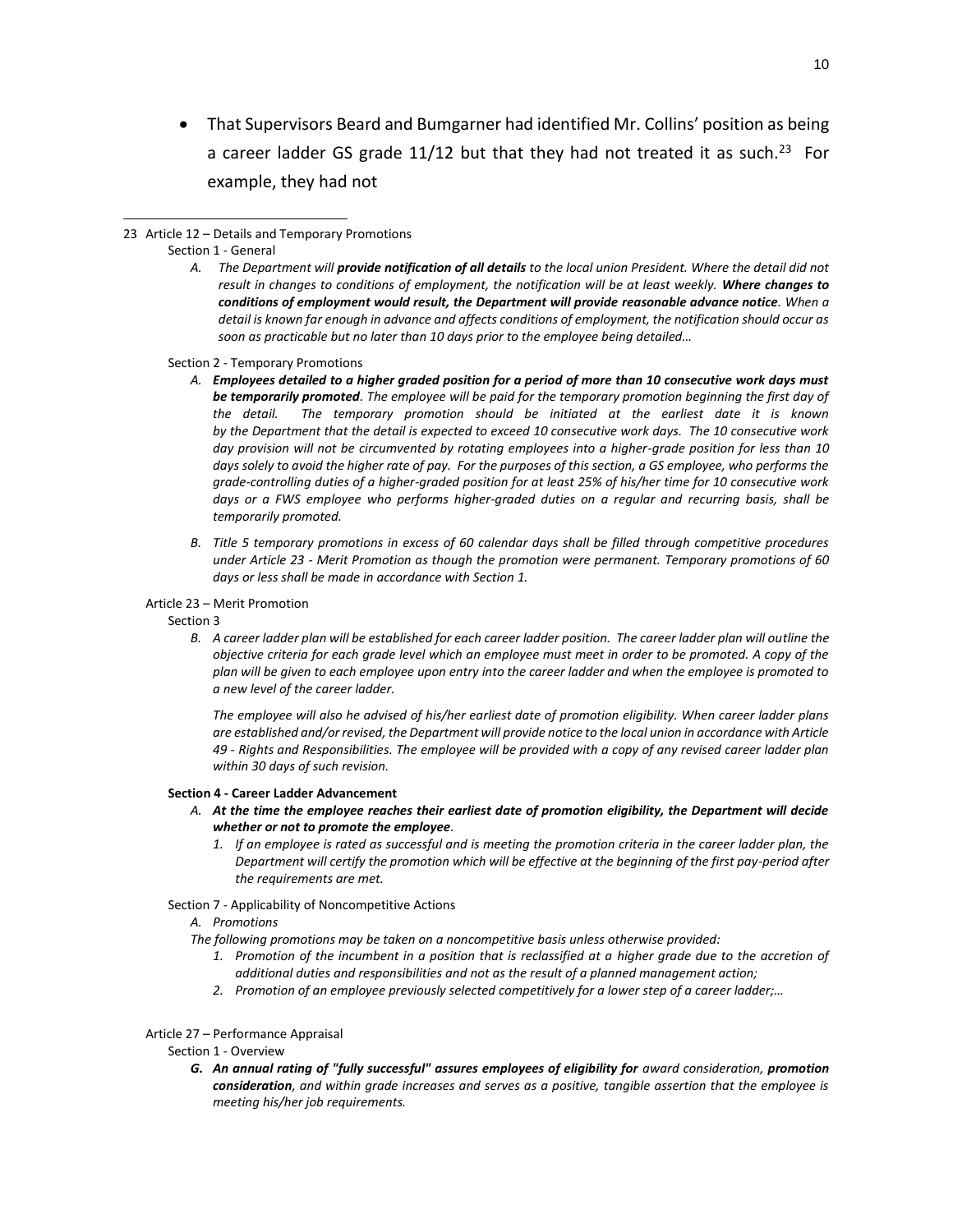That Supervisors Beard and Bumgarner had identified Mr. Collins' position as being a career ladder GS grade 11/12 but that they had not treated it as such.<sup>23</sup> For example, they had not

 $\overline{a}$ 

*A. The Department will provide notification of all details to the local union President. Where the detail did not result in changes to conditions of employment, the notification will be at least weekly. Where changes to conditions of employment would result, the Department will provide reasonable advance notice. When a detail is known far enough in advance and affects conditions of employment, the notification should occur as soon as practicable but no later than 10 days prior to the employee being detailed…*

Section 2 - Temporary Promotions

- *A. Employees detailed to a higher graded position for a period of more than 10 consecutive work days must be temporarily promoted. The employee will be paid for the temporary promotion beginning the first day of the detail. The temporary promotion should be initiated at the earliest date it is known by the Department that the detail is expected to exceed 10 consecutive work days. The 10 consecutive work day provision will not be circumvented by rotating employees into a higher-grade position for less than 10* days solely to avoid the higher rate of pay. For the purposes of this section, a GS employee, who performs the *grade-controlling duties of a higher-graded position for at least 25% of his/her time for 10 consecutive work days or a FWS employee who performs higher-graded duties on a regular and recurring basis, shall be temporarily promoted.*
- *B. Title 5 temporary promotions in excess of 60 calendar days shall be filled through competitive procedures under Article 23 - Merit Promotion as though the promotion were permanent. Temporary promotions of 60 days or less shall be made in accordance with Section 1.*
- Article 23 Merit Promotion

Section 3

*B. A career ladder plan will be established for each career ladder position. The career ladder plan will outline the objective criteria for each grade level which an employee must meet in order to be promoted. A copy of the plan will be given to each employee upon entry into the career ladder and when the employee is promoted to a new level of the career ladder.*

*The employee will also he advised of his/her earliest date of promotion eligibility. When career ladder plans are established and/or revised, the Department will provide notice to the local union in accordance with Article 49 - Rights and Responsibilities. The employee will be provided with a copy of any revised career ladder plan within 30 days of such revision.*

#### **Section 4 - Career Ladder Advancement**

- *A. At the time the employee reaches their earliest date of promotion eligibility, the Department will decide whether or not to promote the employee.* 
	- *1. If an employee is rated as successful and is meeting the promotion criteria in the career ladder plan, the Department will certify the promotion which will be effective at the beginning of the first pay-period after the requirements are met.*
- Section 7 Applicability of Noncompetitive Actions

## *A. Promotions*

*The following promotions may be taken on a noncompetitive basis unless otherwise provided:*

- 1. Promotion of the incumbent in a position that is reclassified at a higher grade due to the accretion of *additional duties and responsibilities and not as the result of a planned management action;*
- *2. Promotion of an employee previously selected competitively for a lower step of a career ladder;…*

#### Article 27 – Performance Appraisal

Section 1 - Overview

*G. An annual rating of "fully successful" assures employees of eligibility for award consideration, promotion consideration, and within grade increases and serves as a positive, tangible assertion that the employee is meeting his/her job requirements.*

<sup>23</sup> Article 12 – Details and Temporary Promotions

Section 1 - General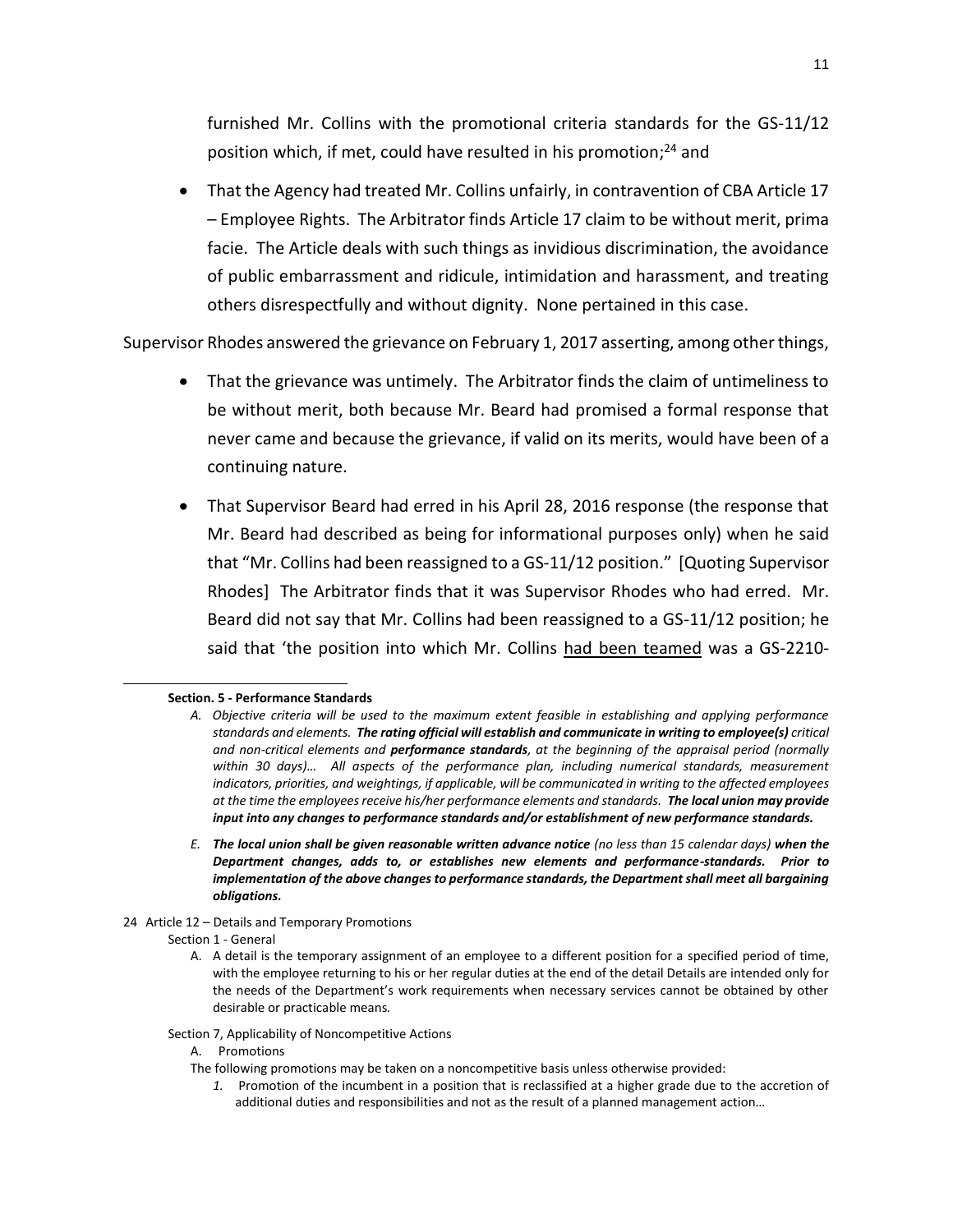furnished Mr. Collins with the promotional criteria standards for the GS-11/12 position which, if met, could have resulted in his promotion; <sup>24</sup> and

 That the Agency had treated Mr. Collins unfairly, in contravention of CBA Article 17 – Employee Rights. The Arbitrator finds Article 17 claim to be without merit, prima facie. The Article deals with such things as invidious discrimination, the avoidance of public embarrassment and ridicule, intimidation and harassment, and treating others disrespectfully and without dignity. None pertained in this case.

Supervisor Rhodes answered the grievance on February 1, 2017 asserting, among other things,

- That the grievance was untimely. The Arbitrator finds the claim of untimeliness to be without merit, both because Mr. Beard had promised a formal response that never came and because the grievance, if valid on its merits, would have been of a continuing nature.
- That Supervisor Beard had erred in his April 28, 2016 response (the response that Mr. Beard had described as being for informational purposes only) when he said that "Mr. Collins had been reassigned to a GS-11/12 position." [Quoting Supervisor Rhodes] The Arbitrator finds that it was Supervisor Rhodes who had erred. Mr. Beard did not say that Mr. Collins had been reassigned to a GS-11/12 position; he said that 'the position into which Mr. Collins had been teamed was a GS-2210-

## **Section. 5 - Performance Standards**

- *E. The local union shall be given reasonable written advance notice (no less than 15 calendar days) when the Department changes, adds to, or establishes new elements and performance-standards. Prior to implementation of the above changes to performance standards, the Department shall meet all bargaining obligations.*
- 24 Article 12 Details and Temporary Promotions
	- Section 1 General

- Section 7, Applicability of Noncompetitive Actions
	- A. Promotions
	- The following promotions may be taken on a noncompetitive basis unless otherwise provided:
		- *1.* Promotion of the incumbent in a position that is reclassified at a higher grade due to the accretion of additional duties and responsibilities and not as the result of a planned management action…

*A. Objective criteria will be used to the maximum extent feasible in establishing and applying performance standards and elements. The rating official will establish and communicate in writing to employee(s) critical and non-critical elements and performance standards, at the beginning of the appraisal period (normally within 30 days)… All aspects of the performance plan, including numerical standards, measurement indicators, priorities, and weightings, if applicable, will be communicated in writing to the affected employees at the time the employees receive his/her performance elements and standards. The local union may provide input into any changes to performance standards and/or establishment of new performance standards.*

A. A detail is the temporary assignment of an employee to a different position for a specified period of time, with the employee returning to his or her regular duties at the end of the detail Details are intended only for the needs of the Department's work requirements when necessary services cannot be obtained by other desirable or practicable means*.*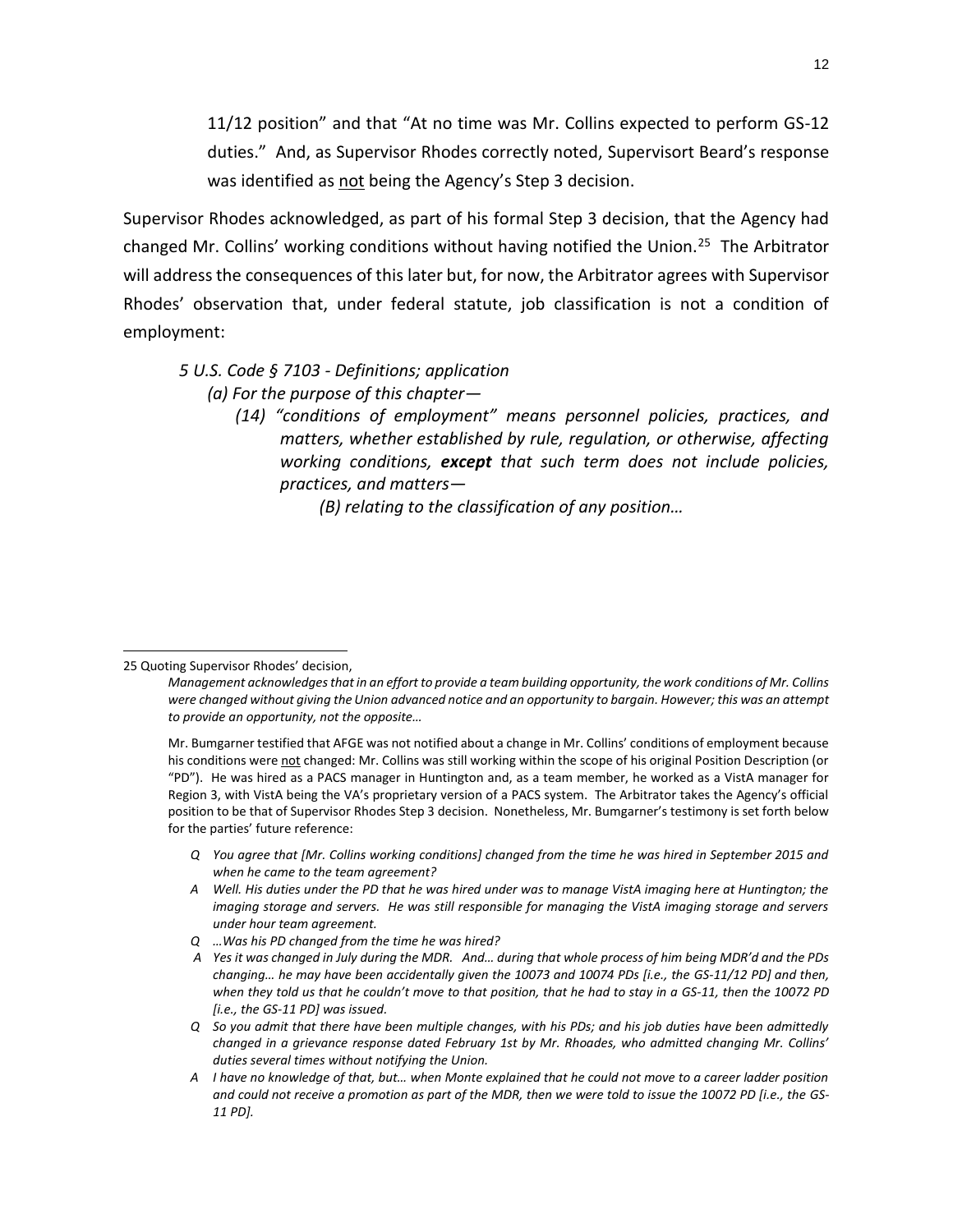11/12 position" and that "At no time was Mr. Collins expected to perform GS-12 duties." And, as Supervisor Rhodes correctly noted, Supervisort Beard's response was identified as not being the Agency's Step 3 decision.

Supervisor Rhodes acknowledged, as part of his formal Step 3 decision, that the Agency had changed Mr. Collins' working conditions without having notified the Union.<sup>25</sup> The Arbitrator will address the consequences of this later but, for now, the Arbitrator agrees with Supervisor Rhodes' observation that, under federal statute, job classification is not a condition of employment:

# *5 U.S. Code § 7103 - Definitions; application*

*(a) For the purpose of this chapter—*

*(14) "conditions of employment" means personnel policies, practices, and matters, whether established by rule, regulation, or otherwise, affecting working conditions, except that such term does not include policies, practices, and matters—*

*(B) relating to the classification of any position…*

## 25 Quoting Supervisor Rhodes' decision,

- *Q You agree that [Mr. Collins working conditions] changed from the time he was hired in September 2015 and when he came to the team agreement?*
- *A Well. His duties under the PD that he was hired under was to manage VistA imaging here at Huntington; the imaging storage and servers. He was still responsible for managing the VistA imaging storage and servers under hour team agreement.*
- *Q …Was his PD changed from the time he was hired?*
- *A Yes it was changed in July during the MDR. And… during that whole process of him being MDR'd and the PDs changing… he may have been accidentally given the 10073 and 10074 PDs [i.e., the GS-11/12 PD] and then, when they told us that he couldn't move to that position, that he had to stay in a GS-11, then the 10072 PD [i.e., the GS-11 PD] was issued.*
- *Q So you admit that there have been multiple changes, with his PDs; and his job duties have been admittedly changed in a grievance response dated February 1st by Mr. Rhoades, who admitted changing Mr. Collins' duties several times without notifying the Union.*
- *A I have no knowledge of that, but… when Monte explained that he could not move to a career ladder position and could not receive a promotion as part of the MDR, then we were told to issue the 10072 PD [i.e., the GS-11 PD].*

*Management acknowledges that in an effort to provide a team building opportunity, the work conditions of Mr. Collins were changed without giving the Union advanced notice and an opportunity to bargain. However; this was an attempt to provide an opportunity, not the opposite…*

Mr. Bumgarner testified that AFGE was not notified about a change in Mr. Collins' conditions of employment because his conditions were not changed: Mr. Collins was still working within the scope of his original Position Description (or "PD"). He was hired as a PACS manager in Huntington and, as a team member, he worked as a VistA manager for Region 3, with VistA being the VA's proprietary version of a PACS system. The Arbitrator takes the Agency's official position to be that of Supervisor Rhodes Step 3 decision. Nonetheless, Mr. Bumgarner's testimony is set forth below for the parties' future reference: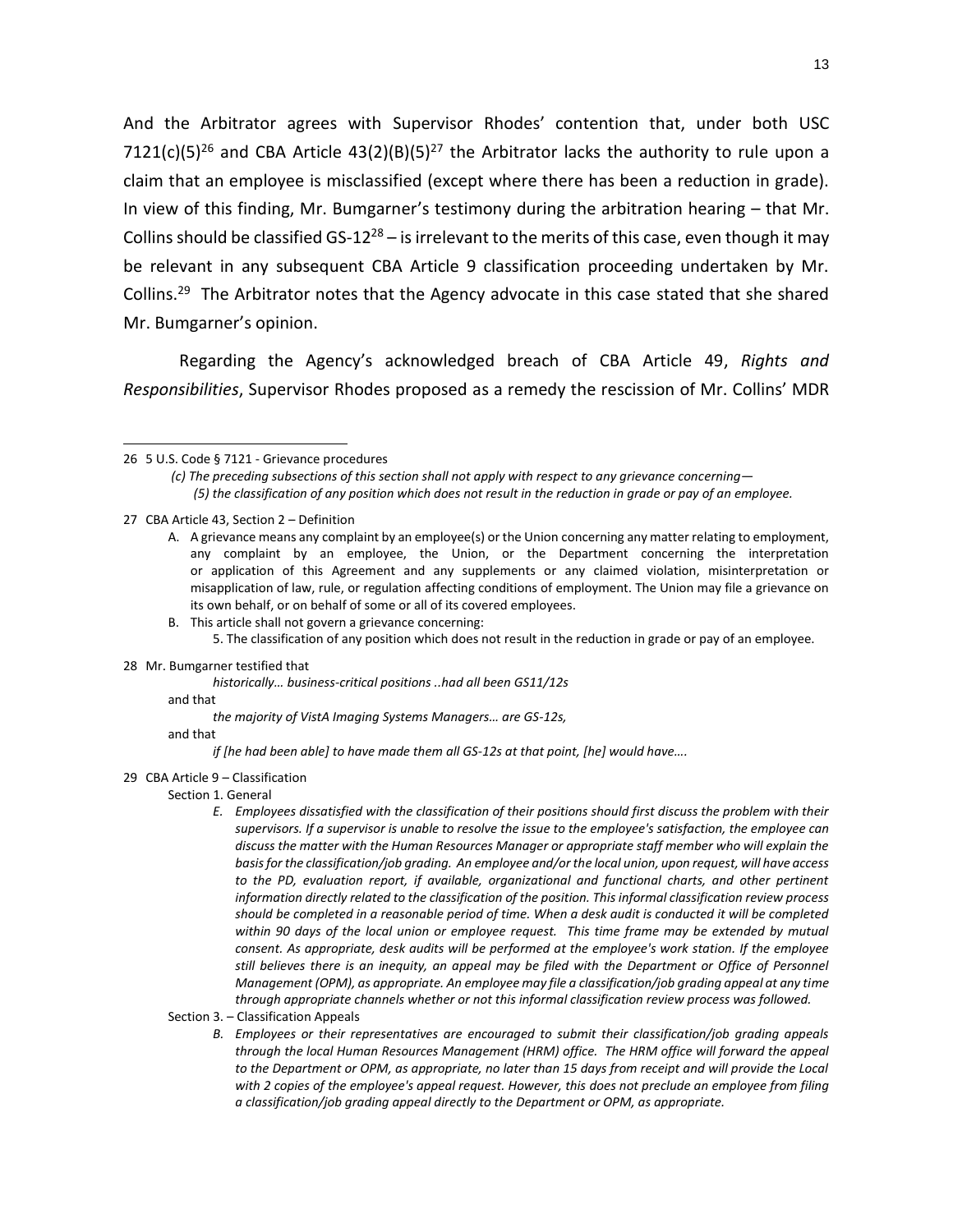And the Arbitrator agrees with Supervisor Rhodes' contention that, under both USC 7121(c)(5)<sup>26</sup> and CBA Article 43(2)(B)(5)<sup>27</sup> the Arbitrator lacks the authority to rule upon a claim that an employee is misclassified (except where there has been a reduction in grade). In view of this finding, Mr. Bumgarner's testimony during the arbitration hearing – that Mr. Collins should be classified GS-12<sup>28</sup> – is irrelevant to the merits of this case, even though it may be relevant in any subsequent CBA Article 9 classification proceeding undertaken by Mr. Collins.<sup>29</sup> The Arbitrator notes that the Agency advocate in this case stated that she shared Mr. Bumgarner's opinion.

Regarding the Agency's acknowledged breach of CBA Article 49, *Rights and Responsibilities*, Supervisor Rhodes proposed as a remedy the rescission of Mr. Collins' MDR

- 27 CBA Article 43, Section 2 Definition
	- A. A grievance means any complaint by an employee(s) or the Union concerning any matter relating to employment, any complaint by an employee, the Union, or the Department concerning the interpretation or application of this Agreement and any supplements or any claimed violation, misinterpretation or misapplication of law, rule, or regulation affecting conditions of employment. The Union may file a grievance on its own behalf, or on behalf of some or all of its covered employees.
	- B. This article shall not govern a grievance concerning:
		- 5. The classification of any position which does not result in the reduction in grade or pay of an employee.
- 28 Mr. Bumgarner testified that

 $\overline{a}$ 

*historically… business-critical positions ..had all been GS11/12s*

and that

*the majority of VistA Imaging Systems Managers… are GS-12s,*

and that

- *if [he had been able] to have made them all GS-12s at that point, [he] would have….*
- 29 CBA Article 9 Classification

Section 1. General

- *E. Employees dissatisfied with the classification of their positions should first discuss the problem with their supervisors. If a supervisor is unable to resolve the issue to the employee's satisfaction, the employee can discuss the matter with the Human Resources Manager or appropriate staff member who will explain the basis for the classification/job grading. An employee and/or the local union, upon request, will have access*  to the PD, evaluation report, if available, organizational and functional charts, and other pertinent *information directly related to the classification of the position. This informal classification review process*  should be completed in a reasonable period of time. When a desk audit is conducted it will be completed *within 90 days of the local union or employee request. This time frame may be extended by mutual consent. As appropriate, desk audits will be performed at the employee's work station. If the employee*  still believes there is an inequity, an appeal may be filed with the Department or Office of Personnel *Management (OPM), as appropriate. An employee may file a classification/job grading appeal at any time through appropriate channels whether or not this informal classification review process was followed.*
- Section 3. Classification Appeals
	- *B. Employees or their representatives are encouraged to submit their classification/job grading appeals through the local Human Resources Management (HRM) office. The HRM office will forward the appeal*  to the Department or OPM, as appropriate, no later than 15 days from receipt and will provide the Local *with 2 copies of the employee's appeal request. However, this does not preclude an employee from filing a classification/job grading appeal directly to the Department or OPM, as appropriate.*

<sup>26</sup> 5 U.S. Code § 7121 - Grievance procedures

*<sup>(</sup>c) The preceding subsections of this section shall not apply with respect to any grievance concerning— (5) the classification of any position which does not result in the reduction in grade or pay of an employee.*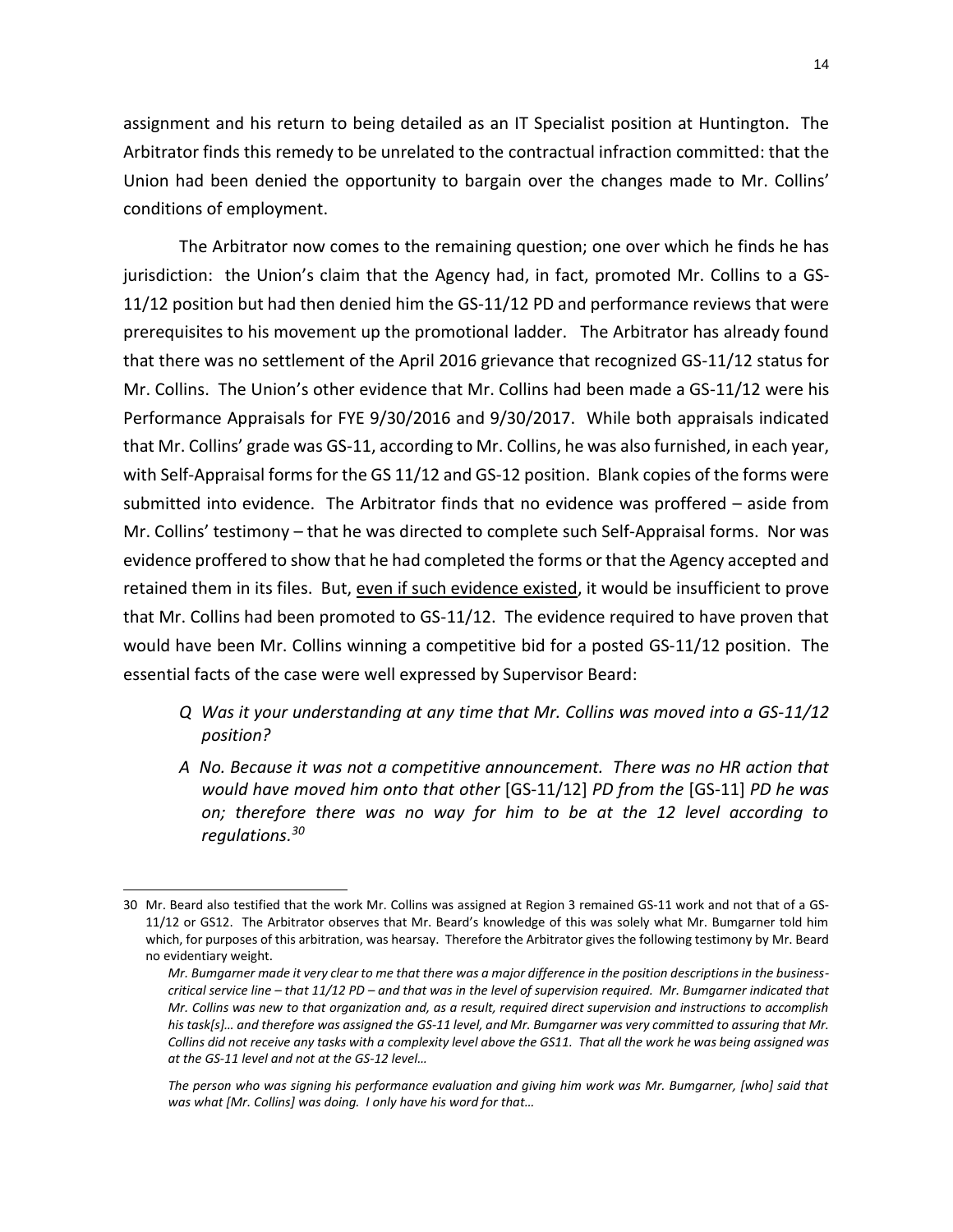assignment and his return to being detailed as an IT Specialist position at Huntington. The Arbitrator finds this remedy to be unrelated to the contractual infraction committed: that the Union had been denied the opportunity to bargain over the changes made to Mr. Collins' conditions of employment.

The Arbitrator now comes to the remaining question; one over which he finds he has jurisdiction: the Union's claim that the Agency had, in fact, promoted Mr. Collins to a GS-11/12 position but had then denied him the GS-11/12 PD and performance reviews that were prerequisites to his movement up the promotional ladder. The Arbitrator has already found that there was no settlement of the April 2016 grievance that recognized GS-11/12 status for Mr. Collins. The Union's other evidence that Mr. Collins had been made a GS-11/12 were his Performance Appraisals for FYE 9/30/2016 and 9/30/2017. While both appraisals indicated that Mr. Collins' grade was GS-11, according to Mr. Collins, he was also furnished, in each year, with Self-Appraisal forms for the GS 11/12 and GS-12 position. Blank copies of the forms were submitted into evidence. The Arbitrator finds that no evidence was proffered – aside from Mr. Collins' testimony – that he was directed to complete such Self-Appraisal forms. Nor was evidence proffered to show that he had completed the forms or that the Agency accepted and retained them in its files. But, even if such evidence existed, it would be insufficient to prove that Mr. Collins had been promoted to GS-11/12. The evidence required to have proven that would have been Mr. Collins winning a competitive bid for a posted GS-11/12 position. The essential facts of the case were well expressed by Supervisor Beard:

- *Q Was it your understanding at any time that Mr. Collins was moved into a GS-11/12 position?*
- *A No. Because it was not a competitive announcement. There was no HR action that would have moved him onto that other* [GS-11/12] *PD from the* [GS-11] *PD he was on; therefore there was no way for him to be at the 12 level according to regulations. 30*

<sup>30</sup> Mr. Beard also testified that the work Mr. Collins was assigned at Region 3 remained GS-11 work and not that of a GS-11/12 or GS12. The Arbitrator observes that Mr. Beard's knowledge of this was solely what Mr. Bumgarner told him which, for purposes of this arbitration, was hearsay. Therefore the Arbitrator gives the following testimony by Mr. Beard no evidentiary weight.

*Mr. Bumgarner made it very clear to me that there was a major difference in the position descriptions in the businesscritical service line – that 11/12 PD – and that was in the level of supervision required. Mr. Bumgarner indicated that Mr. Collins was new to that organization and, as a result, required direct supervision and instructions to accomplish his task[s]… and therefore was assigned the GS-11 level, and Mr. Bumgarner was very committed to assuring that Mr.*  Collins did not receive any tasks with a complexity level above the GS11. That all the work he was being assigned was *at the GS-11 level and not at the GS-12 level…*

*The person who was signing his performance evaluation and giving him work was Mr. Bumgarner, [who] said that was what [Mr. Collins] was doing. I only have his word for that…*